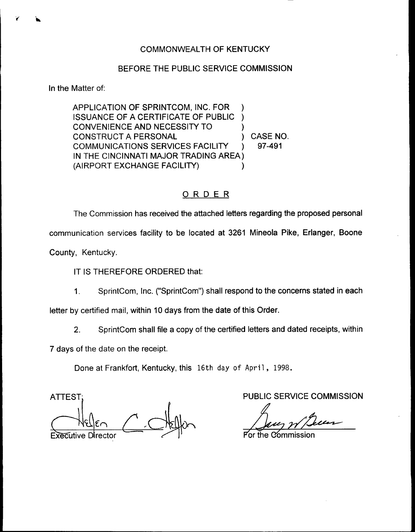# COMMONWEALTH OF KENTUCKY

# BEFORE THE PUBLIC SERVICE COMMISSION

In the Matter of:

APPLICATION OF SPRINTCOM, INC. FOR ISSUANCE OF A CERTIFICATE OF PUBLIC ) CONVENIENCE AND NECESSITY TO CONSTRUCT A PERSONAL (CONSTRUCT A PERSONAL TEACHLITY ) CASE NO. COMMUNICATIONS SERVICES FACILITY IN THE CINCINNATI MAJOR TRADING AREA) (AIRPORT EXCHANGE FACILITY) )

# ORDER

The Commission has received the attached letters regarding the proposed personal communication services facility to be located at 3261 Mineola Pike, Erlanger, Boone County, Kentucky.

IT IS THEREFORE ORDERED that:

SprintCom, Inc. ("SprintCom") shall respond to the concerns stated in each  $1<sub>1</sub>$ 

letter by certified mail, within 10 days from the date of this Order.

2. SprintCom shall file a copy of the certified letters and dated receipts, within

7 days of the date on the receipt.

Done at Frankfort, Kentucky, this 16th day of April, 1998.

ATTEST;  $\frac{1}{\sqrt{\frac{1}{1+\log\frac{1}{1+\log\frac{1}{1+\log\frac{1}{1+\log\frac{1}{1+\log\frac{1}{1+\log\frac{1}{1+\log\frac{1}{1+\log\frac{1}{1+\log\frac{1}{1+\log\frac{1}{1+\log\frac{1}{1+\log\frac{1}{1+\log\frac{1}{1+\log\frac{1}{1+\log\frac{1}{1+\log\frac{1}{1+\log\frac{1}{1+\log\frac{1}{1+\log\frac{1}{1+\log\frac{1}{1+\log\frac{1}{1+\log\frac{1}{1+\log\frac{1}{1+\log\frac{1}{1+\log\frac{1}{1+\log\frac{1}{$ **Executive Director** 

PUBLIC SERVICE COMMISSION

For the Commissic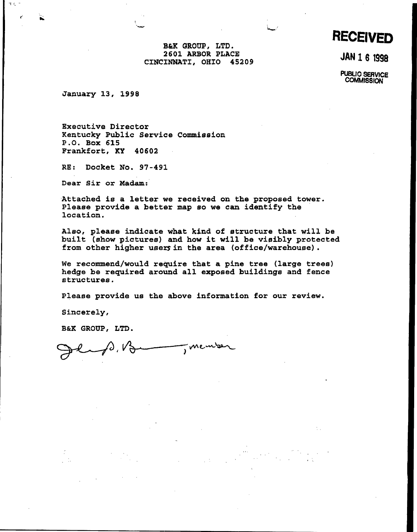**RECEIVED** 

B&X GROUP, LTD. 2601 ARBOR PLACE CINCINNATI, OHIO 45209

JAN 1 6 1998

PUBUC SERVICE **COMMISSION** 

January 13, 1998

 $\tau \lesssim \tau$ 

Executive Directox Kentucky Public Service Commission P.O. Box 615 Frankfort, KY 40602

RE: Docket No. 97-491

Dear Sir ox Madam:

Attached is a letter we received on the proposed tower. Please pxovide a bettex map so we can identify the location.

Also, please indicate what kind of structure that will be built (show pictures) and how it will be visibly protected from othex higher users in the area (office/warehouse) .

We recommend/would require that a pine tree (large trees) hedge be required around all exposed buildings and fence structures.

Please provide us the above information for our xeview.

Sincerely,

B&K GROUP, LTD.

member  $f(x) = f(x)$